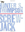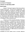### **Screwjack**

### **by Hunter S. Thompson**

### **eVersion 1.0 / See Notes at EOF**

### **Book Jacket:**

Hunter S. Thompson's legions of fans have waited a decade for this book. They will not be disappointed. His notorious *Screwjack* is as salacious, unsettling, and brutally lyrical as it has been rumored to be since the private printing in 1991 of three hundred fine collector's copies and twenty-six leather-bound presentation copies. Only the first of the three pieces included here -- Mescalito , published in Dr. Thompson's 1990 collection *Songs of the Doomed* - has been available to the public, making the trade edition of *Screwjack* a major publishing event.

We live in a jungle of pending disasters, Thompson warns in Mescalito , a chronicle of his first mescaline experience and what it sparked in him while he was alone in an L.A. hotel room in February 1969 -- including a bout of paranoia that would have made most people just scream no, once and for all. But for Thompson, along with the downside came a burst of creativity too powerful to ignore. The result is a poetic, perceptive, and wildly funny streamof-consciousness take on 1969 America as only Hunter S. Thompson could see it.

*Screwjack* just gets weirder with it's second offereing,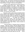*Screwjack* just gets weirder with it's second offereing, Death of a Poet . As Thompson describes this trailer-park confrontation with the dark side of a deservingly doomed friend: Whoops, I thought. Welcome to the night train.

The heart of the collection lies in its final, title piece, an unnaturally poignant love story. What makes the romantic tale Screwjack so touching, for all its queerness, is the aching meloncholy in its depiction of modern man's burden: that we are doomed. Mama has gone off to Real Estate School. . . and after that maybe even to Law School. We will never see her again.

Ostensibly written by Raoul Duke, Screwjack begins with an editor's note explaining of Thompson's alter ego that the first few lines contain no warning of the madness and fear and lust that came more and more to plague him and dominate his life. . . . I am guilty, Lord, Thompson writes, but I am also a lover -- and i am one of your best people, as you know; and yea tho I have walked in many strange shadows and acted crazy from time to time and even drooled on many High Priests, I have not been an embarrassment to you. . . .

Nor has Hunter S. Thompson been to American Literature. Quite the contrary: what the legendary Gonzo journalist proves with Screwjack is just how brilliant a prose stylist he really is, amid all the hilarity. As Thompson puts it in his introduction, the three stories here *build* like *Bolero* to a faster and wider climax that will drag the reader relentlessly *up* a hill, and then *drop* him off a cliff. . . . That is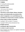the Desired Effect.

# **TO MONA**

*for making this outburst possible* SIMON SCHUSTER

## **Rockefeller Center**

1230 Avenue of the American

New York, NY10020

**This book is a work of fiction. Names, characters,**

**places, and incidents either are products of the**

**author's imagination or are used fictitiously. Any**

**resemblance to actual events or locales or persons,**

**living or dead, is entirely coincidental.**

Copyright © 1991 by Hunter S. Thompson

Copyright © 2000 by Gonzo International Corp.

**All rights reserved,**

**including the right of reproduction**

**in whole or in part in any form.**

Simon Schuster and Colophon are registered trademarks of Simon Schuster, Inc.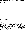Manufactured in the United States of America is available

ISBN 0-684-87321-4

### **MESCALITO**



February 16, 1969

Again in L.A., again at the Continental Hotel . . . full of pills and club sandwiches and Old Crow and now a fifth of Louis Martini Barbera, looking down from the eleventh floor balcony at a police ambulance screaming down toward the Whisky-a-Go-Go on the Strip, where I used to sit in the I afternoon with Lionel and talk with off-duty hookers . . . and while I was standing there, watching four flower children in bell-bottom I pants, two couples, hitch-hiking toward Hollywood proper, a mile or so up the road . . . they noticed me looking down and waved. I waved, and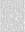moments later, after pointing me out to each I other, they hoisted the V signal -- and I returned that. And one of them yelled, What are you doing up there? And I said, I'm writing about all you freaks down there on the street. We talked back and forth for a while, not communicating much, and I felt like Hubert Humphrey looking down at Grant Park. Maybe if Humphrey had had a balcony in that twenty-fifthfloor Hilton suite he might have behaved differently. Looking out a window is not quite the same. A balcony puts you out in the dark, which is more neutral -- like walking out on a diving board. Anyway, Iwas struck by the distance between me and those street freaks; to them, I was just another fat cat, hanging off a balcony over the strip . . . and it reminded me of James Farmer on TV today, telling *Face the Nation* how he'd maintained his contacts with the Black Community, talking with fat jowls and a nervous hustler style, blundering along in the wake of George Herman's and Daniel Schorr's condescension . . . and then McGarr talking later, at the Luau, a Beverly Hills flesh pit, about how he could remember when Farmer was a radical and it scared him to see how far he'd drifted from the front lines . . . it scared him, he said, because he wondered if the same thing could happen to him . . . which gets back to my scene on the balcony -- Hubert Humphrey looking down at Grant Park on Tuesday night, when he still had options (then, moments later, the four flower children hailed a cab -- yes, cab, taxi -- and I walked down to the King's Cellar liquor store where the clerk looked at my Diners Club card and said, Aren't you the guy who did that *Hell's Angels* thing?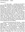And I felt redeemed. . . . Selah).

#### February 18

L.A. notes, again . . . one-thirty now and pill-fear grips the brain, staring down at this half-finished article . . . test pilots, after a week (no, three days) at Edwards AFB in the desert . . . but trying to mix writing and fucking around with old friends don't work no more, this maddening, timekilling late-work syndrome, never getting down to the real machine action until two or three at night, won't make it . . . especially half drunk full of pills and grass with deadlines past and people howling in New York . . . the pressure piles up like a hang-fire lightning ball in the brain. Tired and wiggy from no sleep or at least not enough. Living on pills, phone calls unmade, people unseen, pages unwritten, money unmade, pressure piling up all around to make some kind of breakthrough and get moving again. Get the gum off the rails, finish something, croak this awful habit of not ever getting to the end of anything.

And now the fire alarm goes off in the hall . . . terrible ringing of bells . . . but the hall is empty. Is the hotel on fire? Nobody answers the phone at the desk; the operator doesn't answer . . . the bell screams on. You read about hotel fires: 75 KILLED IN HOLOCAUST: LEAPING OFF BALCONIES (I am on the eleventh floor) . . . but apparently there is no fire. The operator finally answers and says a wire got crossed. But nobody else is in the hall; this happened in Washington too, at the Nixon gig. False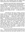alarms and a man screaming down the airshaft, Does anybody want to fuck? The foundations are crumbling.

Yesterday a dope freak tried to steal the Goodyear blimp and take it to Aspen for the Rock and Roll festival . . . carrying a guitar and a toothbrush and a transistor radio he said was a bomb. . . . Kept authorities at bay, said the L.A. *Times,* for more than an hour, claiming to be George Harrison of the Beatles. They took him to jail but couldn't figure out what to charge him with . . . so they put him in a loony bin.

Meanwhile the hills keep crumbling, dropping houses down on streets and highways. Yesterday they closed two lanes of the Pacific Coast Highway between Sunset and Topanga . . . passing the scene in McGarr's little British-Souvenir car on the way to Cover's house in Malibu . . . we looked up and saw two houses perched out in space, and dirt actually sliding down the cliff. It was only a matter of time, and no cure, no way to prevent these two houses from dropping on the highway. They keep undercutting the hills to make more house sites, and the hills keep falling. Fires burn the vegetation off in summer, rains make mudslides in the winter . . . massive erosion, fire and mud, with The Earthquake scheduled for April. Nobody seems to give a fuck.

Today I found marijuana seeds all over the rug in my room . . . leaning down to tie my shoes I focused low and suddenly the rug was alive with seeds. Reminds me of the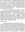time I littered a hotel room in Missoula, Montana, with crab lice . . . picking them off, one by one, and hurling them around the room. . . . I was checking out for Butte. And also the last time Iwas in this hotel I had a shoe full of grass, and John Wilcock's package . . . awful scene at the Canadian border in Toronto, carrying all that grass and unable to say where I lived when they asked me. . . . I thought the end had come, but they let me through.

And now, by total accident, I find Property of Fat City (necessary cop-out change self-preservation -- Oscar - looting) painted on the side of this borrowed typewriter. Is it stolen? God only knows . . . seeds on the rug and a hot typewriter on the desk, we live in a jungle of pending disasters, walking constantly across a minefield . . . will my plane crash tomorrow? What if I miss it? Will the next one crash? Will my house burn down? Cover's friend's house in Topanga burned yesterday, nothing saved except an original Cezanne. Where will it all end?

February 18-19

Getting toward dawn now, very foggy in the head . . . and no Dexedrine left. For the first time in at least five years I am out of my little energy bombs. Nothing in the bottle but five Ritalin tablets and a big spansule of mescaline and speed. I don't know the ratio of the mixture, or what kind of speed is in there with the mescaline. I have no idea what it will do to my head, my heart, or my body. But the Ritalin is useless at this point -- not strong enough -- so I'll have to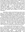risk the other. Oscar is coming by at ten, to take me out to the airport for the flight to Denver and Aspen . . . so if I sink into madness and weird hallucinations, at least he can get me checked out of the hotel. The plane ride itself might be another matter. How can a man know? (Well, I just swallowed the bugger . . . soon it will take hold; I have no idea what to expect, and in this dead-tired, run-down condition almost anything can happen. My resistance is gone, so any reaction will be extreme. I've never had mescaline.)

Meanwhile, outside on the Strip the zoo action never stops. For a while I watched four L.A. sheriffs beat up two teenagers, then handcuff them and haul them away. Terrible howls and screams floated up to my balcony. I'm sorry, sir . . . Oh God, please, I'm sorry. WHACK. One cop picked him up by the feet while he was hanging on to a hurricane fence; the other one kicked him loose, then kneeled on his back and whacked him on the head a few times. I was tempted to hurl a wine bottle down on the cops but refrained. Later, more noise . . . this time a dope freak, bopping along and singing at the top of his lungs -- some kind of medieval chant. Oblivious to everything, just bopping along the strip.

And remember that shooting scene in Alfie's . . . also the film opening with a man reeling into a plastic house, vomiting, cursing the news, picking up a pistol, and firing into the ceiling . . . driven mad by the news and the pressures of upward mobility . . . then, perhaps, to the Classic Cat on amateur night, his neighbor's wife . . . and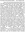from there to the shooting at Alfie's . . . yes, it begins to jell.

Jesus, 6:45 now and the pill has taken hold for real. The metal on the typewriter has turned from dull green to a sort of high-gloss blue, the keys sparkle, glitter with highlights. . . . I sort of levitated in the chair, hovering in front of the | typewriter, not sitting. Fantastic brightness on everything, polished and waxed with special lighting . . . and the physical end of the thing is like the first half-hour on acid, a sort of buzzing all over, a sense of being gripped by something, vibrating internally but with no outward sign or movement. I'm amazed that I can keep typing. I feel like both me and the typewriter have become weightless; it floats in front of me like a bright toy. Weird, I can still spell . . . but I had to think about that last one. . . . Weird. Christ, I wonder how much worse this is going to get. It's seven now, and I have to check out in an hour or so. If this is the beginning of an acid-style trip I might as well give up on the idea of flying anywhere. Taking off in an airplane right now would be an unbearable experience, it would blow the top right off my head. The physical sensations of lifting off the ground would be unbearable in this condition; I feel like I could step off the balcony right now and float gently down to the sidewalk. Yes, and getting worse, a muscle in my thigh is seized by spasms, quivering like something disembodied . . . . I can watch it, feel it, but not be connected. There is not much connection between my head and my body . . . but I can still type and very fast too, much faster than normal. Yes, the goddamn drug is definitely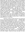taking hold, very much like acid, a sense of very pleasant physical paralysis (wow, that spelling) while the brain copes with something never coped with before. The brain is doing all the work right now, adjusting to this new stimulus like an old soldier ambushed and panicked for a moment, getting a grip but not in command, hanging on, waiting for a break but expecting something worse . . . and yes, it's coming on. I couldn't possibly get out of this chair right now, I couldn't walk, all I can do is type . . . it feels like the blood is racing through Ime, all around my body, at fantastic speeds. I don't feel any pumping, just a sense of increased flow. . . . Speed. Interior speed . . . and a buzzing without noise, high-speed vibrations and more brightness. The little red indicator that moves along with the ball on this typewriter now appears to be made of arterial blood. It throbs and jumps along like a living thing.

I feel like vomiting, but the pressure is too great. My feet are cold, hands cold, head in a vise . . . fantastic effort to lift the bottle of Budweiser and take a sip, I drink like breathing it in, feeling it all the way cold into my stomach . . . very thirsty, but only a half a beer left and too early to call for more. Christ, there's the catch. I am going to have to deal with all manner of complicated shit like packing, paying, all that shit any moment now. If the thing bites down much harder I might wig out and demand beer . . . stay away from the phone, watch the red arrow . . . this typewriter is keeping me on my rails, without it I'd be completely adrift and weird. Maybe I should call Oscar and get him down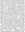here with some beer, to keep me away from that balcony. Ah shit, this is very weird, my legs are half frozen and a slow panic in my stomach, wondering how much stranger it will get . . . turn the radio on, focus on something but don't listen to the words, the vicious bullshit. . . . Jesus, the sun is coming up, the room is unbearably bright, then a cloud across the sun, I can see the cloud in the sudden loss of light in the room, now getting brighter as the cloud passes or moves . . . out there somewhere, much harder to type now, but it must be done, this is my handle, keep the brain tethered, hold it down. Any slippage now could be a landslide, losing the grip, falling or flipping around, Christ, can't blow my nose, can't find it but I can see it and my hand too, but they can't get together, ice in my nose, trembling with the radio on now, some kind of flute music, cold and fantastic vibration so fast I can't move . . . the ball just flipped back, a space capsule floating across the page, some kind of rotten phony soul music on the radio, Melvin Laird singing The Weight O yes we get wearahe, weeri, wearih? Some fuckawful accent. Hair-jelly music. Anthony Hatch in Jerusalem, great God, the stinking news is on, get rid of it, no mention of Nixon, too much for a tortured head. . . . Christ, what a beastly job to look for a new station on this radio dial, up and down the bright blue line and all these numbers, quick switch to FM, get rid of the fucking news, find something in a foreign language . . . the news is already on the TV screen, but I won't turn it on, won't even look at it. ... Nixon's face. . . . GODDAMN, I just called Oscar, fantastic effort to dial, and the fucking line is busy . .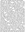. hang on now, no slippage, ignore this weird trembling . . . laugh, yes, that sense of humor, snag it down from somewhere, the skyhook. . . . Jesus, I have to lock that door, get the DO NOT DISTURB sign out before a maid blunders in. I can't stand it, and I just heard one out there, creeping along the hallway, jiggling doorknobs ... ho ho, yes, that famous smile . . . yes, I just got hold of Oscar . . . he's coming with some beer . . . that is the problem now, I can't start fucking around with the management, shouting for beer at this hour of dawn . . . disaster area that way, don't fuck with the management, not now in this wiggy condition . . . conserve this inch of beer until Oscar arrives with more, get a human buffer zone in here, something to hide behind . . . the fucking news is on again, on FM this time. Singer Sewing time is fifteen minutes until eight o'clock, Washington's Birthday sale we cannot tell a lie, our machines will sew you into a bag so fast you'll think you went blind . . . goddamn is there no human peaceful sound on the radio . . . yes, I had one for an instant, but now more ads and bullshit . . . now, right there, a violin sound, hold that, stay with it, focus on that violin sound, ride it out . . . ah, this beer won't last, the thirst will doom me to fucking with the management  $\ldots$  no, I have some ice left -- on the balcony -- but careful out there, don't look over the edge . . . go out backward, feel around for the paper ice bucket, seize it carefully between thumb and forefinger, then walk slowly back to this chair . . . try it now. . . . DONE, but my legs have turned to jelly, impossible to move around except like a rolling ball, don't bounce, get away from that phone,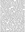keep typing, the grip, the handle. . . . Jesus, my hands are vibrating now, I don't see how they can type. The keys feel like huge plastic mounds, very mushy and that bright red arrow jumping along like a pill in one of those sing-along movie shorts, bouncing from word to word with the music. . . . Thank God for the *Sonata in F Major for Oboe and Guitar* by Charles Starkweather . . . no ads, listener sponsored radio, not even news . . . salvation has many faces, remind me to send a check to this station when I get well . . . KPFK? Sounds right. The beer crisis is building, I am down to saliva in this last brown bottle . . . goddamn, half my brain is already pondering how to get more beer, but it won't work . . . no way. No beer is available here. No way. ^Nao tern. Think about something else, thank God for this music; if I could get to the bathroom I'd like to get a towel and hang it over the face of this stinking TV set, the news is on there, I can smell it. My eyes feel bigger than grapefruits. Where are the sunglasses, I see them over there, creep across, that cloud is off the sun again, for real this time, incredible light in the room, white blaze on the walls, glittering typewriter keys . . . and down there under the balcony traffic moves steadily along the Sunset Strip in Hollywood, California, zip code unknown . . . we just came back from a tour of the Soviet Union and Denmark, careful now, don't stray into the news, keep it pure, yes, I hear a flute now, music starting again. What about cigarettes, another problem area . . . and I hear that wily old charwoman sucking on the doorknob again, goddamn her sneaky ass what does she want? I have no money. If she comes in here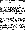the rest of her days will be spent in a fear-coma. I am not in the mood to fuck around with charwomen, keep them out of here, they prowl this hotel like crippled wolves . . . smile again, yes, gain a step, tighten the grip, ho ho. . . . When will this thing peak? It seems to be boring deeper. I know it can't be worse than acid, but that's what it feels like now. I have to catch a plane in two hours. Can it be done? Jesus, I couldn't fly now. . . . I couldn't walk to the plane . . . oh Jesus, the crunch is on, my throat and mouth are like hot gravel and even the saliva is gone . . . can I get to the bottle of Old Crow and mix it up with the remains of these ice fragments . . . a cool drink for the freak? Give the gentleman something cool, dear, can't you see he's wired his brain to the water pump and his ears to the generator . . . stand back, those sparks! Back off, maybe he's too far gone . . . coil a snake around him . . . get that drink, boy, you are slipping, we need CONCENTRATION . . . yes, the music, some kind of German flower song. Martin Bormann sings WHITE RABBIT . . . ambushed in the jungle by a legion of naked gooks . . . whiskey uber alles, get that drink, get up, move.

DONE . . . but my knees are locked and my head is about twenty feet higher than my feet . . . in this room with an eight-foot roof, making travel very difficult. The light again, get those sunglasses, unlock the knees and creep over there . . . not far . . . yes, I'm wearing the glasses now, but the glare is still all around. Getting out of this hotel and catching this plane is going to be weird. . . . I see not much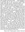hope, but that's not the way to think. . . . I have managed to do everything else I've had to do so far. Twenty-three minutes past eight on this ^brauvsaving station, I hear echoes of the news, leaking out the back of the TV set. . . . Nixon has ordered the Condor Legion into Berkeley . . . smile . . . relax a bit, sip that drink. Bagpipes now on the radio, but it's really violins . . . they're fucking around with these instruments, sounds like a tractor in the hall, the charwomen are going to cave my door in with a fucking webbed vehicle, a crane in the hall, snapping doors off their hinges like so many cobwebs . . . creaking and clanking along, this hotel has gone all to hell since the chain took it over, no more grapefruit in the light sockets, the lamp sockets . . . put some lampblack on these walls, take off the glare. We need more hair on these walls, and crab lice in the rug to give it life. There are marijuana seeds in this rug, the place is full of them. The rug crackles like popcorn when I walk, who planted these seeds in this rug, and why aren't they watered? Now . . . yes . . . there is a project, tend the crops, soak this rug like a drenching rain, some kind of tropical downpour . . . good for the crops, keep the ground damp and prune the leaves every other day. Be careful about renting the room, special people, nature freaks, tillers of the soil . . . let them in, but for Christ's sake keep the charwomen out. They don't like things growing in the rug, most of them seem like third-generation Finns, old muscles turned to lard and hanging like wasps nests....

Wasps nests? Slipping again, beware, Oscar just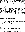came in, bringing beer. I seem to have leveled out, like after the first rush of acid. If this is as deep as it's going to bore I think we can make that plane, but I dread it. Getting in a steel tube and shot across the sky, strapped down . . . yes, I sense a peak, just now, a hint of letdown, but still vibrating and hovering around with the typewriter. The cloud is over the sun again, or maybe it's smog . . . but the glare is gone from the walls, no highlights on the buildings down below, no sparkle on the rooftops, no water, just gray air. I see a concrete mixer moving, red and gray, down on that other street a long way off. It looks like a Matchbox toy; they sell them in airports. Get one for Juan. I think we will catch that plane. Someday when things are right and like they should be we can do all this again by putting a quarter in the Holiday Inn vibrator bed and taking a special madness pill . . . but wait, hold over there, we can do *that* now. We can do almost anything now . . . and why not?

\* \* \*

Xerox copy with author's notes of yesterday's program for today's Continental Airlines tape concert - private earphones for all passengers and six-channel selector dials, along with individual volume controls, built into each seat. The program being twenty-four hours old plays hell with a head full of cactus madness -- like watching an NFL football game with an AFL roster.

\* \* \*

11:32 -- hovering again. Weightless -- weird -- L.A.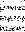11:32 -- hovering again. Weightless -- weird -- L.A. down below -- earphones and knobs -- switching around Jesus, Leon Blum -- the Canadian Legion Haile Selassie speech.

\* \* \*

Cheap rental cars at the airport -- seize Batrollers and zang up to Big Sur -- have Michael Murphy arrested for restraint of trade, killing the last true hillbilly-music cabal on the West Coast. Who can blame me for whipping on that paraplegic in the baths? Anyone would have done it -- Selah.

\* \* \*

Who are these pigs -- as a validated addict I demand to be left alone -- drink the eucalyptus oil -- with dials and knobs still high as a freak male locked into the vibrations of the jet engines -- get a bag of acid and a credit card for airlines -- evaluate the pitch, roll and yaw - no sense of movement in this plane -- just humming -- the phones -- acid-style high tingling and strange, intense vibrations. Get that dead animal off the seat -- put it under - where is the drink? These pigs are taking us for a ride -put it on the card. Strange feedback echoes on the headset, Gabriel Heatter screaming in the background - telephone conversations -- fantastic people talking. This is yesterday's program -- new songs today. A dingbat across the aisle and Kitty Wells on the headphones. This channel is ^hag-ridden with echoes -- telephone conversations. See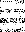no wings on this plane -- good God the lock on my whiskey bag is frozen -- a lifting body, tends to destroy itself, very wormy. I seem to be getting higher. (12:15) Warn the pilot -this plane feels very wormy at this altitude. An ominous sense of yaw . . . sliding off edge -- fire in the ashtray. Weird things in this channel.

\* \* \*

Further notes in the Denver airport -- coming down but can't relax, looking for a plane ride to Aspen with all legitimate flights canceled due to snowstorm -- if not to Aspen, then back to L.A.  $-$  last chance to get straight  $$ final effort -- and half wanting the abyss. One of you pigs will find me a plane -- sweating obscenely, hair plastered down and dripping from the cheekbones -- the drug is gone now, no more zang, failing energy, disconnected thoughts -- the Goodyear blimp as a last resort but no driving. Beware of (unreadable) hawks in the company of straight people -- get that charter, leaving in five minutes -- fiery stomach, running through the airport screaming for Bromo-Seltzer -- coming down again in the Denver airport. Now, sitting in the copilot's seat of an Aero Commander -- weirdness feeds on itself -- with a wheel in my lap and pedals on the floor at my feet -- forty-one round dials in front of me, blinking lights, jabbering radio noise -- smoking, waiting for the oxygen -sick, feeling deranged -- two Ritalins don't help much -sliding -- no hope of pulling out -- air bubbles in the brain -open this window beside me, a rush of air and crisis sounds from the others. Smelling of booze in this tiny cabin,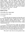nobody speaks -- fear and loathing, dizzy, flying and bouncing through clouds. No more hole-cards, drained. Back to L.A., rather than Grand Junction -- why go there? Chaos in the Denver airport -- soaking sweats and all flights canceled -- charwomen working -- lying swine at the counters -- here boy, rent this car. Sorry, as a certified addict I cannot drive on snow -- Imust fly!

LOS ANGELES, 1969

## **Death of a Poet**

*In the coffin of ice, I sleep naked In the tunnel of fire, I drink*

-F. X. Leach

It was dark when we dropped into Green Bay, and the airport was deadly calm. The whole town was in shock from the disastrous beating inflicted that day on the hometown Packers by the Kansas City Chiefs. . . . Their confidence was broken; the Magic Man had failed, Mighty Casey had struck out.

The girl at the Avis counter was weeping uncontrollably in her booth as I approached. My heart was filled with joy, but I couldn't get through to her. She had lost her will to live. Take any car you want, she said. I don't care anymore: It's over. I'm moving to Milwaukee on Monday.

Who cares? I said. Give me some goddamn keys.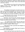She was slow to respond so I gave her a taste of the long knuckle and she fell to her knees. There's more where that came from, I told her.

Then I grabbed a set of keys off a nail and hurried outside to find a car. I was eager to see Leach and celebrate our great victory.

\* \* \*

The address he had given me turned out to be a trailer court behind the stockyards. He met me at the door with red eyes and trembling hands, wearing a soiled cowhide bathrobe and carrying a half-gallon of Wild Turkey.

You got here just in time, he said. I was about to slit my wrists. This is the worst day of my life.

Nonsense, I said. We won big. I bet the same way you did. You gave me the numbers. You even predicted Kansas City would stomp the Packers.

F.X. tensed, then he threw back his head and uttered a high-pitch quavering shriek. I seized him. Get a grip on yourself, I snapped. What's wrong?

I went crazy, he said. I got drunk and changed my bet. Then I doubled up.

I felt a shudder in my spine. What! I said. You bet on the Packers? What happened?

I went to that big Packer pep rally with some guys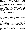from the shop, he said. We were all drinking schnapps and screaming and I lost my head. . . . It was impossible to bet against the Packers in that atmosphere.

It was true. Leach was a bad drinker and a junkie for mass hysteria.

They're going to kill me, he said. They'll be here by midnight. I'm doomed. He uttered another low cry and reached for the Wild Turkey bottle, which had fallen over and spilled.

Hang on, I said. I'll get more.

On my way to the kitchen I was jolted by the sight of a naked woman slumped awkwardly in the corner with a desperate look on her face, as if she'd been shot. Her eyes were bulged and her mouth was wide open and she appeared to be reaching out for me.

I leaped back and heard laughter behind me. My first thought was that Leach, unhinged by his gambling disaster, had finally gone over the line with his wife-beating habit and shot her in the mouth just before I knocked on the door. She appeared to be crying out for help, but there was no voice.

I ran into the kitchen and looked around for a knife thinking that if Leach had gone crazy enough to kill his wife, now he would have to kill me too, since I was the only witness.

Suddenly he appeared in the doorway, holding the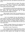naked woman by the neck, and hurled her across the room at me. . . .

. . . Time stood still for an instant. The woman seemed to hover in the air, coming at me in the darkness like a body in slow motion. I went into a stance with the bread knife and braced for fighting.

Then the thing hit me and bounced softly down to the floor. It was a rubber blow-up doll: one of those things with five orifices that young stockbrokers buy in adult bookstores after the singles bars close.

Meet Jennifer, he said. She's my punching bag. He picked up the doll by her hair and slammed it across the room.

Ho, ho, he chuckled. No more wife beating. I'm cured, thanks to Jennifer. He smiled sheepishly. It's almost like a miracle. These dolls saved my marriage. They're a lot smarter than you think, he nodded gravely. Sometimes I have to beat two at once, but it always calms me down, you know what Imean?

Whoops, I thought. Welcome to the night train. Oh hell yes, I said quickly. How do the neighbors handle it?

No problem, he said. They love me.

Sure, I thought. I tried to imagine the horror of living in a muddy industrial lot full of tin-walled trailers and trying to protect your family against brain damage from knowing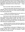that, every night when you look out your kitchen to check out the neighbor's unit, there will be a man in a leather bathrobe flogging two naked women around the room with a quart of Wild Turkey. Sometimes for two or three hours. . . . It was horrible.

How is your wife? I asked. Is she still here?

Oh yes, he said quickly. She just went out for some cigarettes. She'll be back any minute. He nodded eagerly. Oh yes, she's very proud of me. We're almost reconciled. She really loves these dolls.

I smiled, but something about his story made me nervous. How many do you have? I asked him.

Don't worry, he said. I have all we need. He reached into a nearby broom closet and pulled out another one, a half-inflated Chinese-looking woman with rings in her nipples and two electric cords attached to her head. This is Ling-Ling, he said. Screams when I hit her. He whacked the doll's head and it squawked stupidly.

Just then we heard car doors slamming outside the trailer, a loud knocking on the front door and a gruff voice shouting, Open up! Police!

Leach grabbed a snub-nosed .44 Magnum out of a shoulder holster inside his bathrobe and fired two shots through the front door. You bitch, he screamed. I should have killed you a long time ago.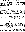He fired two more shots, laughing calmly.

Then he turned to face me and put the barrel of the gun in his mouth. He hesitated for a moment, staring directly into my eyes. Then he pulled the trigger and blew off the back of his head.

#### **Screwjack**

*Among the many documents, manuscripts, personal papers and artworks that miraculously survived the Great Firestorm that swept the Duke Estate in the winter of 88 was this one -- a profoundly disturbing love letter that he wrote to his wife only sixteen days before his disappearance.*

*The first few lines contain no warning of the madness and fear and lust that came more and more to plague him and dominate his life, as he felt his crimes coming back to haunt him.*

#### -THE EDITORS

I was just joined by the rich and famous Mr. Screwjack, who ate the last of the tuna fish and gave me one of those head jobs under the chin, and then tried to coax me outside with him, but I refused . . . so he shrugged and went out by himself, into the cold and sunless dawn.

He would rather have stayed inside with me -- the two of us curled up on the couch together, watching Oprah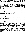Winfrey on TV . . . I could see it in his cold yellow eyes, a wistful kind of yearning for love that would have to wait, or perhaps could never be. . . .

His whining drove me crazy as I carried him in my arms to the front door and just before I hurled his wretched black ass out onto the thin crust of snow that had settled on the porch since midnight, I lifted him up to my face and kissed him deeply on the lips. I forced my tongue between his fangs and rolled it around the ridges on the top of his mouth. I gripped him around his strong young shoulders and pulled him closer to me. His purring was so loud and strong that it made us both tremble.

Ah, sweet Screwjack, Iwhispered. We are doomed. Mama has gone off to Real Estate School and then to El Centro, and after that maybe even to Law School. We will never see her again.

He stared at me, but said nothing. Then he twisted out of my grip and dropped to the floor. . . . And then he was gone, with no noise, like some ghost from my other world, and I knew in my heart, as his dirty black shape leaped away from me across the woodpile and through that shadowy hole between the blue spruce tree and the cold silver grille of the Volvo, that Iwould never see him again.

At least not for six years, and probably not then; and the next time we met he would weigh 200 pounds and flip me over on my stomach and fuck me from behind like a panther.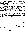Like my beast and my dolphin, my perfect dream lover, like that ghost that I must forget . . . and my beautiful little tattoo that will cost me \$1500 to get burned off my shoulder with a laser needle.

Forgive me Lord, for loving this beast like I do, and for wanting him so deep inside me that I will finally feel him coining on the soft red skin of my own heart . . . and for wanting to lay down beside him and sleep like a baby with our bodies wrapped into each other and the same wild dream in our heads.

I am guilty, Lord, but I am also a lover -- and I am one of your best people, as you know; and yea tho I have walked in many strange shadows and acted crazy from time to time and even drooled on many High Priests, I have not been an embarrassment to you. . . . So leave me alone, goddamnit, and send Mr. Screwjack back to me; and if the others have any questions or snide comments about it, tell them to eat shit and die.

Who among them is pure enough to cast the first stone? Or to look on me with those rheumy courtroom eyes and say that Iwas wrong for loving a huge black tomcat?

Never mind that, Lord. I can handle it. Just keep the lawyers off my back, and the pious . . . and leave us alone to make babies.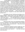At the depths of my social leperism I remember Duke's strange letter. . . . And I am horrified to realize that I am fondling the cat. . . . We were smoking marijuana a moment ago, maybe for one or two minutes, and now he is acting wild. He is rolling his nuts at me *for real* this time, on his back in my lap and suddenly curling up to put his fangs on me. He uttered a low kind of whimpering sound, then he opened his mouth and grabbed the ball-muscle of my right thumb with all four of those goddamn white fangs (I was stroking his navel, at the time) . . . and for one very high tenth of a second I thought the crazy black bastard was going to do it.

I was typing, but once The Boy put his fangs on me, things changed. I stared down at him very intently from a distance of five or six inches (compounded by a factor of 1.25 by the specs). . . . So I felt pretty close to the beast when he suddenly curled up in my lap and began sinking his teeth into me.

That's how it felt. It was a very interesting sensation, because I believed it was really happening. This monster was actually going to *puncture* me, draw *blood,* and change our lives forever.

Goddamnit! I thought. You fool! I trusted you, but I was wrong. You're no better than that punk Mailer fell for . . . and now I*must* cut your head off. . . . And then the beast said nevermore.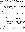It was a very long moment, no more than a second - and then he suddenly relaxed and rolled his head back, releasing his bite on my thumb-muscle, as if it had never happened. . . . He pushed his wiry little neck back against the palm of my left hand and gazed up at me.

I closed my fingers around his neck and got a firm grip on his shoulders. He began to purr and the pupils in his eyes closed down to blissful little black slits as he wantonly ground his sharp, ugly little hipbones down into the palm of my right hand, the one he almost bit.

The phone rang. It was Pat Caddell, calling from Santa Barbara with a whole raft of ugly political news. I can't talk now, I said. I have to deal with this animal. Call me back when you calm down.

Then I hung up the phone and looked down, once again, at Screwjack. You're lucky, I told him. That was Mr. Caddell, the political man. He sends you his best regards.

Then I clamped my fingers very suddenly around his neck in a vise-like grip that cut his wind off, while at the same time dragging his head backward and straight down, over my leg, causing his front claws to flap crazily in the air as he struggled. . . .

With my right hand I seized the whole lower end of his body, between the front side of his groin and on the back where the tail connects to the spine, and I squeezed him like a grape.